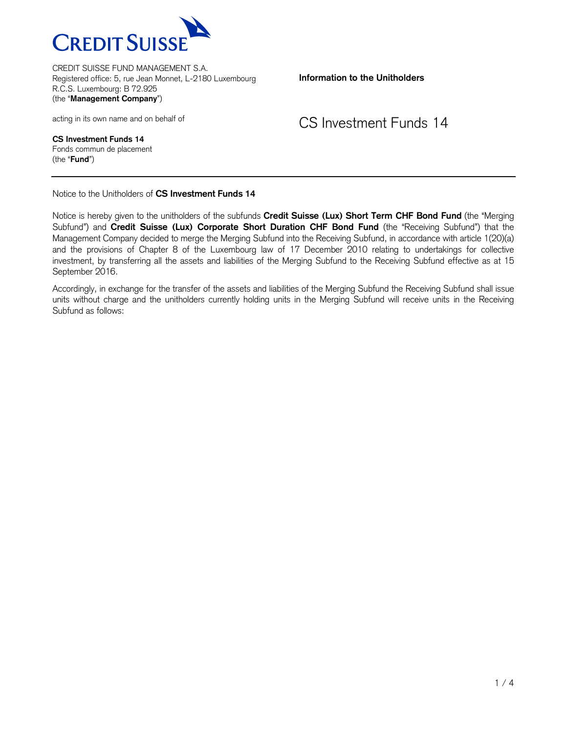

**Information to the Unitholders**

acting in its own name and on behalf of

CS Investment Funds 14

**CS Investment Funds 14** Fonds commun de placement (the "**Fund**")

Notice to the Unitholders of **CS Investment Funds 14**

Notice is hereby given to the unitholders of the subfunds **Credit Suisse (Lux) Short Term CHF Bond Fund** (the "Merging Subfund") and **Credit Suisse (Lux) Corporate Short Duration CHF Bond Fund** (the "Receiving Subfund") that the Management Company decided to merge the Merging Subfund into the Receiving Subfund, in accordance with article 1(20)(a) and the provisions of Chapter 8 of the Luxembourg law of 17 December 2010 relating to undertakings for collective investment, by transferring all the assets and liabilities of the Merging Subfund to the Receiving Subfund effective as at 15 September 2016.

Accordingly, in exchange for the transfer of the assets and liabilities of the Merging Subfund the Receiving Subfund shall issue units without charge and the unitholders currently holding units in the Merging Subfund will receive units in the Receiving Subfund as follows: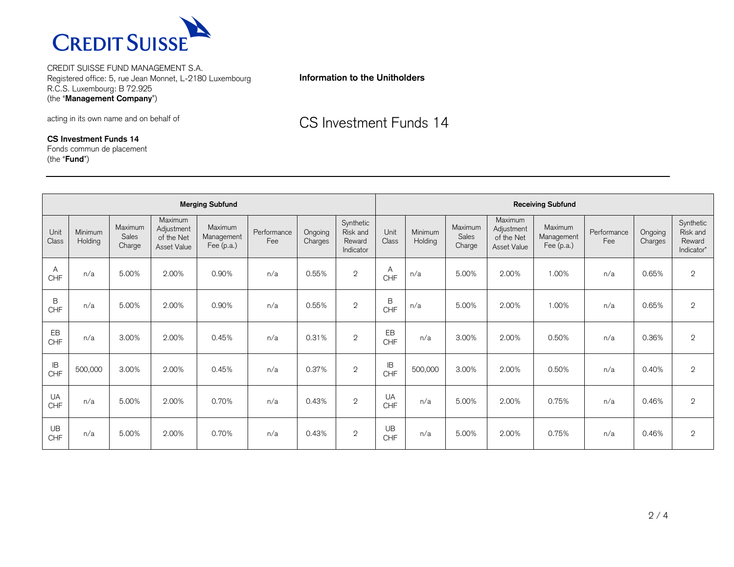

## **Information to the Unitholders**

acting in its own name and on behalf of

**CS Investment Funds 14**

Fonds commun de placement (the "**Fund**")

CS Investment Funds 14

| <b>Merging Subfund</b> |                    |                            |                                                    |                                       |                    |                    |                                              |                      | <b>Receiving Subfund</b> |                            |                                                    |                                     |                    |                    |                                               |
|------------------------|--------------------|----------------------------|----------------------------------------------------|---------------------------------------|--------------------|--------------------|----------------------------------------------|----------------------|--------------------------|----------------------------|----------------------------------------------------|-------------------------------------|--------------------|--------------------|-----------------------------------------------|
| Unit<br>Class          | Minimum<br>Holding | Maximum<br>Sales<br>Charge | Maximum<br>Adjustment<br>of the Net<br>Asset Value | Maximum<br>Management<br>Fee $(p.a.)$ | Performance<br>Fee | Ongoing<br>Charges | Synthetic<br>Risk and<br>Reward<br>Indicator | Unit<br><b>Class</b> | Minimum<br>Holding       | Maximum<br>Sales<br>Charge | Maximum<br>Adjustment<br>of the Net<br>Asset Value | Maximum<br>Management<br>Fee (p.a.) | Performance<br>Fee | Ongoing<br>Charges | Synthetic<br>Risk and<br>Reward<br>Indicator* |
| A<br>CHF               | n/a                | 5.00%                      | 2.00%                                              | 0.90%                                 | n/a                | 0.55%              | $\mathbf{2}$                                 | A<br>CHF             | n/a                      | 5.00%                      | 2.00%                                              | 1.00%                               | n/a                | 0.65%              | $\mathbf 2$                                   |
| B<br><b>CHF</b>        | n/a                | 5.00%                      | 2.00%                                              | 0.90%                                 | n/a                | 0.55%              | $\mathbf{2}$                                 | B<br>CHF             | n/a                      | 5.00%                      | 2.00%                                              | 1.00%                               | n/a                | 0.65%              | $\mathbf{2}$                                  |
| EB<br>CHF              | n/a                | 3.00%                      | 2.00%                                              | 0.45%                                 | n/a                | 0.31%              | $\overline{2}$                               | EB<br>CHF            | n/a                      | 3.00%                      | 2.00%                                              | 0.50%                               | n/a                | 0.36%              | $\mathbf{2}$                                  |
| IB<br>CHF              | 500,000            | 3.00%                      | 2.00%                                              | 0.45%                                 | n/a                | 0.37%              | $\mathbf{2}$                                 | IB<br>CHF            | 500,000                  | 3.00%                      | 2.00%                                              | 0.50%                               | n/a                | 0.40%              | $\mathbf 2$                                   |
| UA<br><b>CHF</b>       | n/a                | 5.00%                      | 2.00%                                              | 0.70%                                 | n/a                | 0.43%              | $\overline{2}$                               | <b>UA</b><br>CHF     | n/a                      | 5.00%                      | 2.00%                                              | 0.75%                               | n/a                | 0.46%              | $\mathbf{2}$                                  |
| UB<br>CHF              | n/a                | 5.00%                      | 2.00%                                              | 0.70%                                 | n/a                | 0.43%              | $\mathbf{2}$                                 | UB<br>CHF            | n/a                      | 5.00%                      | 2.00%                                              | 0.75%                               | n/a                | 0.46%              | $\mathbf 2$                                   |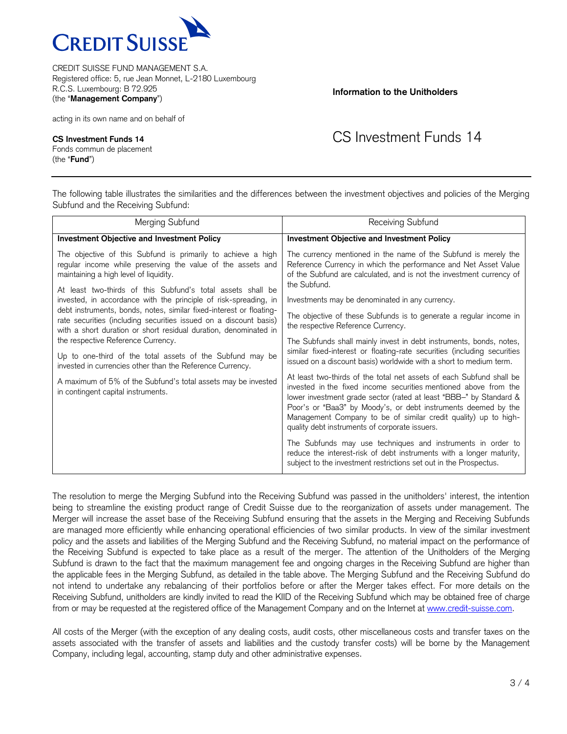

acting in its own name and on behalf of

**CS Investment Funds 14** Fonds commun de placement (the "**Fund**")

## **Information to the Unitholders**

## CS Investment Funds 14

The following table illustrates the similarities and the differences between the investment objectives and policies of the Merging Subfund and the Receiving Subfund:

| Merging Subfund                                                                                                                                                                                              | Receiving Subfund                                                                                                                                                                                                                                                                                                                                                                                     |  |  |  |  |  |
|--------------------------------------------------------------------------------------------------------------------------------------------------------------------------------------------------------------|-------------------------------------------------------------------------------------------------------------------------------------------------------------------------------------------------------------------------------------------------------------------------------------------------------------------------------------------------------------------------------------------------------|--|--|--|--|--|
| <b>Investment Objective and Investment Policy</b>                                                                                                                                                            | <b>Investment Objective and Investment Policy</b>                                                                                                                                                                                                                                                                                                                                                     |  |  |  |  |  |
| The objective of this Subfund is primarily to achieve a high<br>regular income while preserving the value of the assets and<br>maintaining a high level of liquidity.                                        | The currency mentioned in the name of the Subfund is merely the<br>Reference Currency in which the performance and Net Asset Value<br>of the Subfund are calculated, and is not the investment currency of<br>the Subfund.                                                                                                                                                                            |  |  |  |  |  |
| At least two-thirds of this Subfund's total assets shall be<br>invested, in accordance with the principle of risk-spreading, in                                                                              | Investments may be denominated in any currency.                                                                                                                                                                                                                                                                                                                                                       |  |  |  |  |  |
| debt instruments, bonds, notes, similar fixed-interest or floating-<br>rate securities (including securities issued on a discount basis)<br>with a short duration or short residual duration, denominated in | The objective of these Subfunds is to generate a regular income in<br>the respective Reference Currency.                                                                                                                                                                                                                                                                                              |  |  |  |  |  |
| the respective Reference Currency.<br>Up to one-third of the total assets of the Subfund may be<br>invested in currencies other than the Reference Currency.                                                 | The Subfunds shall mainly invest in debt instruments, bonds, notes,<br>similar fixed-interest or floating-rate securities (including securities<br>issued on a discount basis) worldwide with a short to medium term.                                                                                                                                                                                 |  |  |  |  |  |
| A maximum of 5% of the Subfund's total assets may be invested<br>in contingent capital instruments.                                                                                                          | At least two-thirds of the total net assets of each Subfund shall be<br>invested in the fixed income securities mentioned above from the<br>lower investment grade sector (rated at least "BBB-" by Standard &<br>Poor's or "Baa3" by Moody's, or debt instruments deemed by the<br>Management Company to be of similar credit quality) up to high-<br>quality debt instruments of corporate issuers. |  |  |  |  |  |
|                                                                                                                                                                                                              | The Subfunds may use techniques and instruments in order to<br>reduce the interest-risk of debt instruments with a longer maturity,<br>subject to the investment restrictions set out in the Prospectus.                                                                                                                                                                                              |  |  |  |  |  |

The resolution to merge the Merging Subfund into the Receiving Subfund was passed in the unitholders' interest, the intention being to streamline the existing product range of Credit Suisse due to the reorganization of assets under management. The Merger will increase the asset base of the Receiving Subfund ensuring that the assets in the Merging and Receiving Subfunds are managed more efficiently while enhancing operational efficiencies of two similar products. In view of the similar investment policy and the assets and liabilities of the Merging Subfund and the Receiving Subfund, no material impact on the performance of the Receiving Subfund is expected to take place as a result of the merger. The attention of the Unitholders of the Merging Subfund is drawn to the fact that the maximum management fee and ongoing charges in the Receiving Subfund are higher than the applicable fees in the Merging Subfund, as detailed in the table above. The Merging Subfund and the Receiving Subfund do not intend to undertake any rebalancing of their portfolios before or after the Merger takes effect. For more details on the Receiving Subfund, unitholders are kindly invited to read the KIID of the Receiving Subfund which may be obtained free of charge from or may be requested at the registered office of the Management Company and on the Internet at [www.credit-suisse.com.](http://www.credit-suisse.com/)

All costs of the Merger (with the exception of any dealing costs, audit costs, other miscellaneous costs and transfer taxes on the assets associated with the transfer of assets and liabilities and the custody transfer costs) will be borne by the Management Company, including legal, accounting, stamp duty and other administrative expenses.